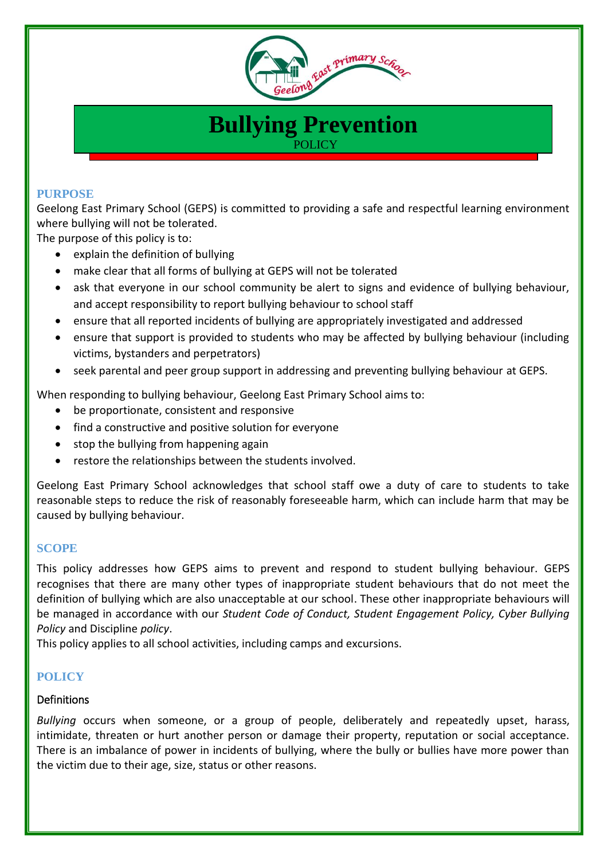

# **Bullying Prevention POLICY**

#### **PURPOSE**

Geelong East Primary School (GEPS) is committed to providing a safe and respectful learning environment where bullying will not be tolerated.

The purpose of this policy is to:

- explain the definition of bullying
- make clear that all forms of bullying at GEPS will not be tolerated
- ask that everyone in our school community be alert to signs and evidence of bullying behaviour, and accept responsibility to report bullying behaviour to school staff
- ensure that all reported incidents of bullying are appropriately investigated and addressed
- ensure that support is provided to students who may be affected by bullying behaviour (including victims, bystanders and perpetrators)
- seek parental and peer group support in addressing and preventing bullying behaviour at GEPS.

When responding to bullying behaviour, Geelong East Primary School aims to:

- be proportionate, consistent and responsive
- find a constructive and positive solution for everyone
- stop the bullying from happening again
- restore the relationships between the students involved.

Geelong East Primary School acknowledges that school staff owe a duty of care to students to take reasonable steps to reduce the risk of reasonably foreseeable harm, which can include harm that may be caused by bullying behaviour.

## **SCOPE**

This policy addresses how GEPS aims to prevent and respond to student bullying behaviour. GEPS recognises that there are many other types of inappropriate student behaviours that do not meet the definition of bullying which are also unacceptable at our school. These other inappropriate behaviours will be managed in accordance with our *Student Code of Conduct, Student Engagement Policy, Cyber Bullying Policy* and Discipline *policy*.

This policy applies to all school activities, including camps and excursions.

## **POLICY**

## **Definitions**

*Bullying* occurs when someone, or a group of people, deliberately and repeatedly upset, harass, intimidate, threaten or hurt another person or damage their property, reputation or social acceptance. There is an imbalance of power in incidents of bullying, where the bully or bullies have more power than the victim due to their age, size, status or other reasons.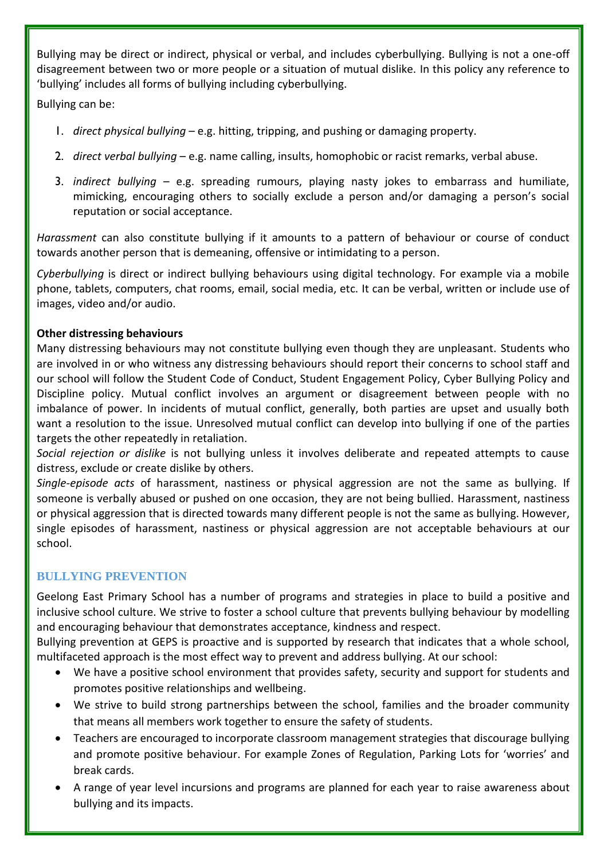Bullying may be direct or indirect, physical or verbal, and includes cyberbullying. Bullying is not a one-off disagreement between two or more people or a situation of mutual dislike. In this policy any reference to 'bullying' includes all forms of bullying including cyberbullying.

Bullying can be:

- 1. *direct physical bullying* e.g. hitting, tripping, and pushing or damaging property.
- 2. *direct verbal bullying* e.g. name calling, insults, homophobic or racist remarks, verbal abuse.
- 3. *indirect bullying* e.g. spreading rumours, playing nasty jokes to embarrass and humiliate, mimicking, encouraging others to socially exclude a person and/or damaging a person's social reputation or social acceptance.

*Harassment* can also constitute bullying if it amounts to a pattern of behaviour or course of conduct towards another person that is demeaning, offensive or intimidating to a person.

*Cyberbullying* is direct or indirect bullying behaviours using digital technology. For example via a mobile phone, tablets, computers, chat rooms, email, social media, etc. It can be verbal, written or include use of images, video and/or audio.

# **Other distressing behaviours**

Many distressing behaviours may not constitute bullying even though they are unpleasant. Students who are involved in or who witness any distressing behaviours should report their concerns to school staff and our school will follow the Student Code of Conduct, Student Engagement Policy, Cyber Bullying Policy and Discipline policy. Mutual conflict involves an argument or disagreement between people with no imbalance of power. In incidents of mutual conflict, generally, both parties are upset and usually both want a resolution to the issue. Unresolved mutual conflict can develop into bullying if one of the parties targets the other repeatedly in retaliation.

*Social rejection or dislike* is not bullying unless it involves deliberate and repeated attempts to cause distress, exclude or create dislike by others.

*Single-episode acts* of harassment, nastiness or physical aggression are not the same as bullying. If someone is verbally abused or pushed on one occasion, they are not being bullied. Harassment, nastiness or physical aggression that is directed towards many different people is not the same as bullying. However, single episodes of harassment, nastiness or physical aggression are not acceptable behaviours at our school.

# **BULLYING PREVENTION**

Geelong East Primary School has a number of programs and strategies in place to build a positive and inclusive school culture. We strive to foster a school culture that prevents bullying behaviour by modelling and encouraging behaviour that demonstrates acceptance, kindness and respect.

Bullying prevention at GEPS is proactive and is supported by research that indicates that a whole school, multifaceted approach is the most effect way to prevent and address bullying. At our school:

- We have a positive school environment that provides safety, security and support for students and promotes positive relationships and wellbeing.
- We strive to build strong partnerships between the school, families and the broader community that means all members work together to ensure the safety of students.
- Teachers are encouraged to incorporate classroom management strategies that discourage bullying and promote positive behaviour. For example Zones of Regulation, Parking Lots for 'worries' and break cards.
- A range of year level incursions and programs are planned for each year to raise awareness about bullying and its impacts.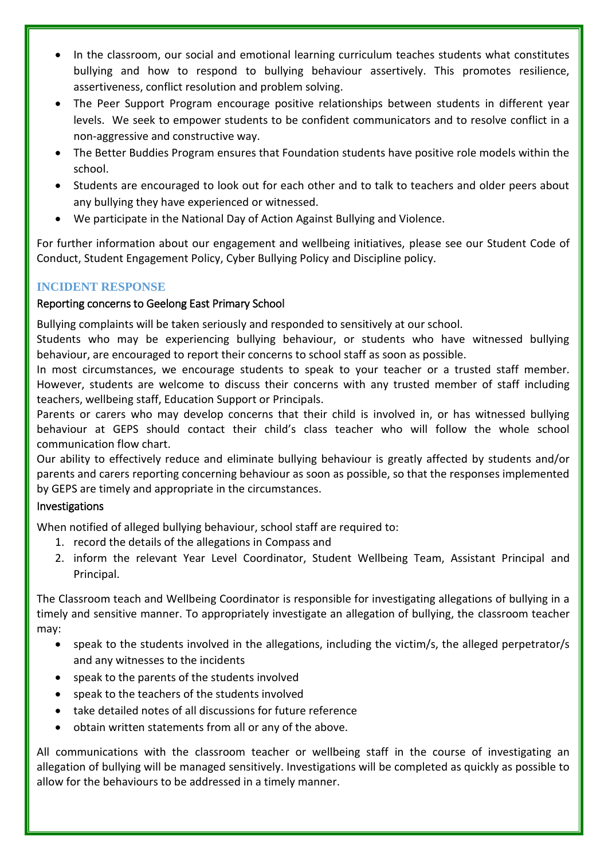- In the classroom, our social and emotional learning curriculum teaches students what constitutes bullying and how to respond to bullying behaviour assertively. This promotes resilience, assertiveness, conflict resolution and problem solving.
- The Peer Support Program encourage positive relationships between students in different year levels. We seek to empower students to be confident communicators and to resolve conflict in a non-aggressive and constructive way.
- The Better Buddies Program ensures that Foundation students have positive role models within the school.
- Students are encouraged to look out for each other and to talk to teachers and older peers about any bullying they have experienced or witnessed.
- We participate in the National Day of Action Against Bullying and Violence.

For further information about our engagement and wellbeing initiatives, please see our Student Code of Conduct, Student Engagement Policy, Cyber Bullying Policy and Discipline policy.

# **INCIDENT RESPONSE**

# Reporting concerns to Geelong East Primary School

Bullying complaints will be taken seriously and responded to sensitively at our school.

Students who may be experiencing bullying behaviour, or students who have witnessed bullying behaviour, are encouraged to report their concerns to school staff as soon as possible.

In most circumstances, we encourage students to speak to your teacher or a trusted staff member. However, students are welcome to discuss their concerns with any trusted member of staff including teachers, wellbeing staff, Education Support or Principals.

Parents or carers who may develop concerns that their child is involved in, or has witnessed bullying behaviour at GEPS should contact their child's class teacher who will follow the whole school communication flow chart.

Our ability to effectively reduce and eliminate bullying behaviour is greatly affected by students and/or parents and carers reporting concerning behaviour as soon as possible, so that the responses implemented by GEPS are timely and appropriate in the circumstances.

# Investigations

When notified of alleged bullying behaviour, school staff are required to:

- 1. record the details of the allegations in Compass and
- 2. inform the relevant Year Level Coordinator, Student Wellbeing Team, Assistant Principal and Principal.

The Classroom teach and Wellbeing Coordinator is responsible for investigating allegations of bullying in a timely and sensitive manner. To appropriately investigate an allegation of bullying, the classroom teacher may:

- speak to the students involved in the allegations, including the victim/s, the alleged perpetrator/s and any witnesses to the incidents
- speak to the parents of the students involved
- speak to the teachers of the students involved
- take detailed notes of all discussions for future reference
- obtain written statements from all or any of the above.

All communications with the classroom teacher or wellbeing staff in the course of investigating an allegation of bullying will be managed sensitively. Investigations will be completed as quickly as possible to allow for the behaviours to be addressed in a timely manner.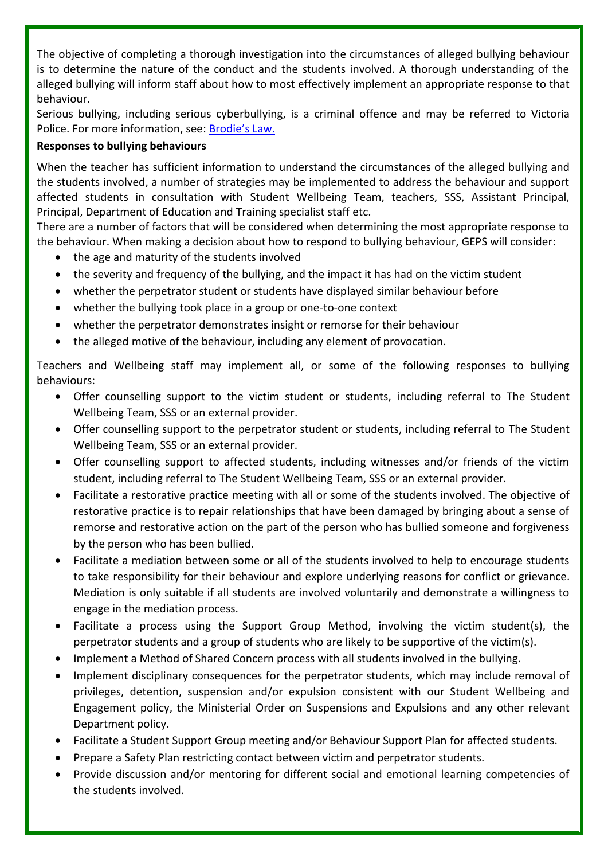The objective of completing a thorough investigation into the circumstances of alleged bullying behaviour is to determine the nature of the conduct and the students involved. A thorough understanding of the alleged bullying will inform staff about how to most effectively implement an appropriate response to that behaviour.

Serious bullying, including serious cyberbullying, is a criminal offence and may be referred to Victoria Police. For more information, see: [Brodie's Law.](http://www.education.vic.gov.au/about/programs/bullystoppers/Pages/advicesheetbrodieslaw.aspx)

# **Responses to bullying behaviours**

When the teacher has sufficient information to understand the circumstances of the alleged bullying and the students involved, a number of strategies may be implemented to address the behaviour and support affected students in consultation with Student Wellbeing Team, teachers, SSS, Assistant Principal, Principal, Department of Education and Training specialist staff etc.

There are a number of factors that will be considered when determining the most appropriate response to the behaviour. When making a decision about how to respond to bullying behaviour, GEPS will consider:

- the age and maturity of the students involved
- the severity and frequency of the bullying, and the impact it has had on the victim student
- whether the perpetrator student or students have displayed similar behaviour before
- whether the bullying took place in a group or one-to-one context
- whether the perpetrator demonstrates insight or remorse for their behaviour
- the alleged motive of the behaviour, including any element of provocation.

Teachers and Wellbeing staff may implement all, or some of the following responses to bullying behaviours:

- Offer counselling support to the victim student or students, including referral to The Student Wellbeing Team, SSS or an external provider.
- Offer counselling support to the perpetrator student or students, including referral to The Student Wellbeing Team, SSS or an external provider.
- Offer counselling support to affected students, including witnesses and/or friends of the victim student, including referral to The Student Wellbeing Team, SSS or an external provider.
- Facilitate a restorative practice meeting with all or some of the students involved. The objective of restorative practice is to repair relationships that have been damaged by bringing about a sense of remorse and restorative action on the part of the person who has bullied someone and forgiveness by the person who has been bullied.
- Facilitate a mediation between some or all of the students involved to help to encourage students to take responsibility for their behaviour and explore underlying reasons for conflict or grievance. Mediation is only suitable if all students are involved voluntarily and demonstrate a willingness to engage in the mediation process.
- Facilitate a process using the Support Group Method, involving the victim student(s), the perpetrator students and a group of students who are likely to be supportive of the victim(s).
- Implement a Method of Shared Concern process with all students involved in the bullying.
- Implement disciplinary consequences for the perpetrator students, which may include removal of privileges, detention, suspension and/or expulsion consistent with our Student Wellbeing and Engagement policy, the Ministerial Order on Suspensions and Expulsions and any other relevant Department policy.
- Facilitate a Student Support Group meeting and/or Behaviour Support Plan for affected students.
- Prepare a Safety Plan restricting contact between victim and perpetrator students.
- Provide discussion and/or mentoring for different social and emotional learning competencies of the students involved.